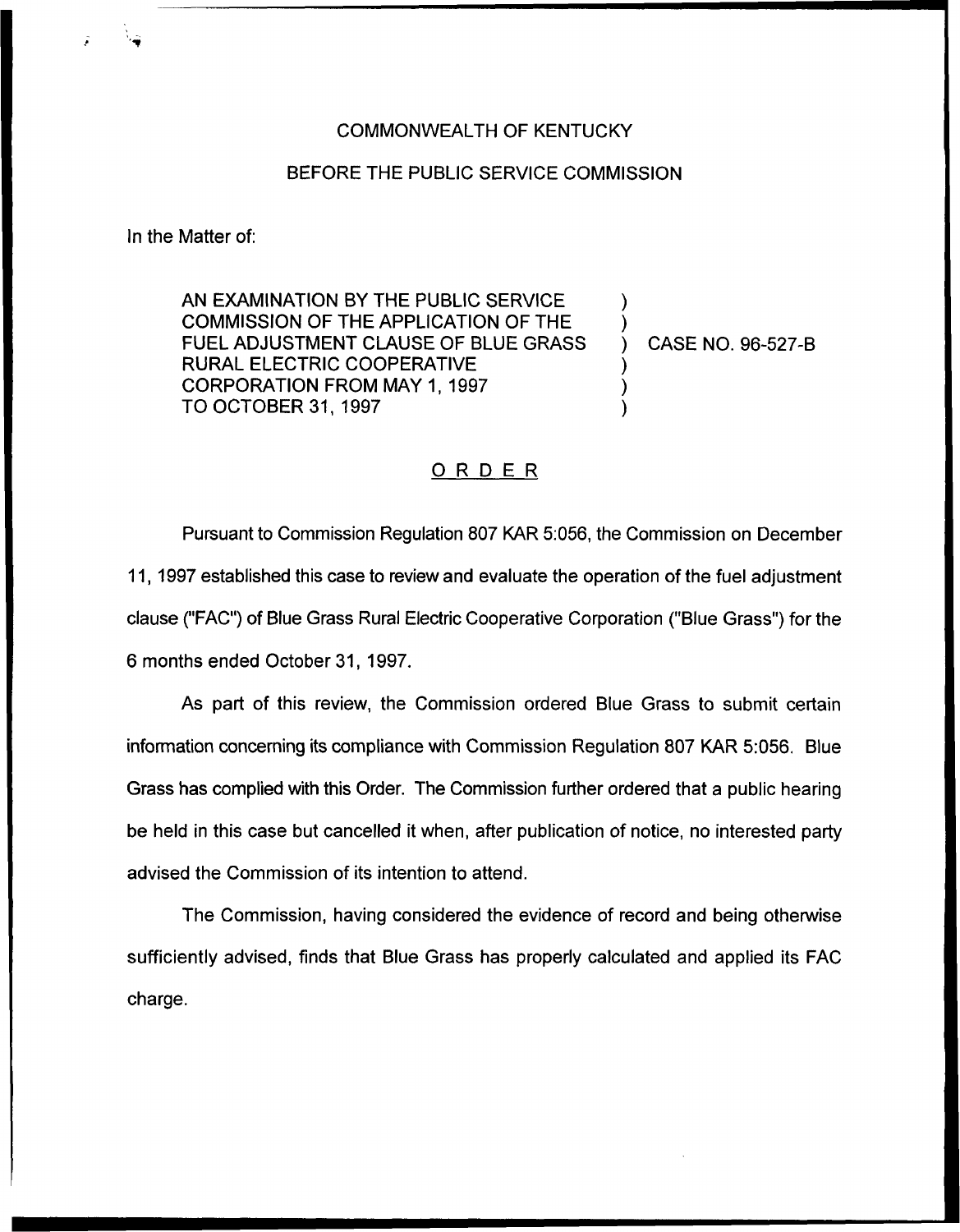## COMMONWEALTH OF KENTUCKY

## BEFORE THE PUBLIC SERVICE COMMISSION

In the Matter of:

AN EXAMINATION BY THE PUBLIC SERVICE COMMISSION OF THE APPLICATION OF THE FUEL ADJUSTMENT CLAUSE OF BLUE GRASS RURAL ELECTRIC COOPERATIVE CORPORATION FROM MAY 1, 1997 TO OCTOBER 31, 1997

) CASE NO. 96-527-B

) )

) ) )

## ORDER

Pursuant to Commission Regulation 807 KAR 5:056, the Commission on December 11, 1997 established this case to review and evaluate the operation of the fuel adjustment clause ("FAC") of Blue Grass Rural Electric Cooperative Corporation ("Blue Grass") for the 6 months ended October 31, 1997.

As part of this review, the Commission ordered Blue Grass to submit certain information concerning its compliance with Commission Regulation 807 KAR 5:056. Blue Grass has complied with this Order. The Commission further ordered that a public hearing be held in this case but cancelled it when, after publication of notice, no interested party advised the Commission of its intention to attend.

The Commission, having considered the evidence of record and being otherwise sufficiently advised, finds that Blue Grass has properly calculated and applied its FAC charge.